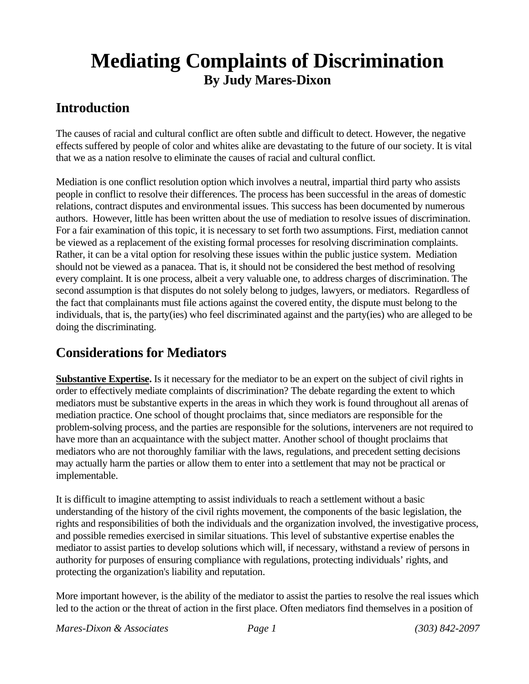## **Mediating Complaints of Discrimination By Judy Mares-Dixon**

## **Introduction**

The causes of racial and cultural conflict are often subtle and difficult to detect. However, the negative effects suffered by people of color and whites alike are devastating to the future of our society. It is vital that we as a nation resolve to eliminate the causes of racial and cultural conflict.

Mediation is one conflict resolution option which involves a neutral, impartial third party who assists people in conflict to resolve their differences. The process has been successful in the areas of domestic relations, contract disputes and environmental issues. This success has been documented by numerous authors. However, little has been written about the use of mediation to resolve issues of discrimination. For a fair examination of this topic, it is necessary to set forth two assumptions. First, mediation cannot be viewed as a replacement of the existing formal processes for resolving discrimination complaints. Rather, it can be a vital option for resolving these issues within the public justice system. Mediation should not be viewed as a panacea. That is, it should not be considered the best method of resolving every complaint. It is one process, albeit a very valuable one, to address charges of discrimination. The second assumption is that disputes do not solely belong to judges, lawyers, or mediators. Regardless of the fact that complainants must file actions against the covered entity, the dispute must belong to the individuals, that is, the party(ies) who feel discriminated against and the party(ies) who are alleged to be doing the discriminating.

## **Considerations for Mediators**

**Substantive Expertise.** Is it necessary for the mediator to be an expert on the subject of civil rights in order to effectively mediate complaints of discrimination? The debate regarding the extent to which mediators must be substantive experts in the areas in which they work is found throughout all arenas of mediation practice. One school of thought proclaims that, since mediators are responsible for the problem-solving process, and the parties are responsible for the solutions, interveners are not required to have more than an acquaintance with the subject matter. Another school of thought proclaims that mediators who are not thoroughly familiar with the laws, regulations, and precedent setting decisions may actually harm the parties or allow them to enter into a settlement that may not be practical or implementable.

It is difficult to imagine attempting to assist individuals to reach a settlement without a basic understanding of the history of the civil rights movement, the components of the basic legislation, the rights and responsibilities of both the individuals and the organization involved, the investigative process, and possible remedies exercised in similar situations. This level of substantive expertise enables the mediator to assist parties to develop solutions which will, if necessary, withstand a review of persons in authority for purposes of ensuring compliance with regulations, protecting individuals' rights, and protecting the organization's liability and reputation.

More important however, is the ability of the mediator to assist the parties to resolve the real issues which led to the action or the threat of action in the first place. Often mediators find themselves in a position of

*Mares-Dixon & Associates Page 1 (303) 842-2097*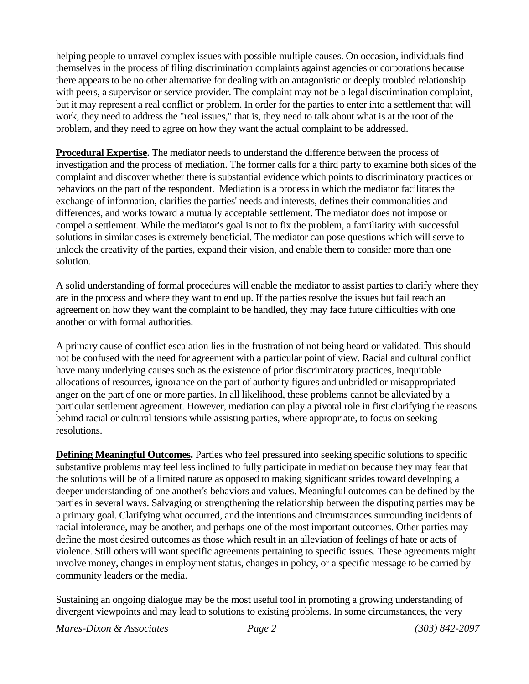helping people to unravel complex issues with possible multiple causes. On occasion, individuals find themselves in the process of filing discrimination complaints against agencies or corporations because there appears to be no other alternative for dealing with an antagonistic or deeply troubled relationship with peers, a supervisor or service provider. The complaint may not be a legal discrimination complaint, but it may represent a real conflict or problem. In order for the parties to enter into a settlement that will work, they need to address the "real issues," that is, they need to talk about what is at the root of the problem, and they need to agree on how they want the actual complaint to be addressed.

**Procedural Expertise.** The mediator needs to understand the difference between the process of investigation and the process of mediation. The former calls for a third party to examine both sides of the complaint and discover whether there is substantial evidence which points to discriminatory practices or behaviors on the part of the respondent. Mediation is a process in which the mediator facilitates the exchange of information, clarifies the parties' needs and interests, defines their commonalities and differences, and works toward a mutually acceptable settlement. The mediator does not impose or compel a settlement. While the mediator's goal is not to fix the problem, a familiarity with successful solutions in similar cases is extremely beneficial. The mediator can pose questions which will serve to unlock the creativity of the parties, expand their vision, and enable them to consider more than one solution.

A solid understanding of formal procedures will enable the mediator to assist parties to clarify where they are in the process and where they want to end up. If the parties resolve the issues but fail reach an agreement on how they want the complaint to be handled, they may face future difficulties with one another or with formal authorities.

A primary cause of conflict escalation lies in the frustration of not being heard or validated. This should not be confused with the need for agreement with a particular point of view. Racial and cultural conflict have many underlying causes such as the existence of prior discriminatory practices, inequitable allocations of resources, ignorance on the part of authority figures and unbridled or misappropriated anger on the part of one or more parties. In all likelihood, these problems cannot be alleviated by a particular settlement agreement. However, mediation can play a pivotal role in first clarifying the reasons behind racial or cultural tensions while assisting parties, where appropriate, to focus on seeking resolutions.

**Defining Meaningful Outcomes.** Parties who feel pressured into seeking specific solutions to specific substantive problems may feel less inclined to fully participate in mediation because they may fear that the solutions will be of a limited nature as opposed to making significant strides toward developing a deeper understanding of one another's behaviors and values. Meaningful outcomes can be defined by the parties in several ways. Salvaging or strengthening the relationship between the disputing parties may be a primary goal. Clarifying what occurred, and the intentions and circumstances surrounding incidents of racial intolerance, may be another, and perhaps one of the most important outcomes. Other parties may define the most desired outcomes as those which result in an alleviation of feelings of hate or acts of violence. Still others will want specific agreements pertaining to specific issues. These agreements might involve money, changes in employment status, changes in policy, or a specific message to be carried by community leaders or the media.

Sustaining an ongoing dialogue may be the most useful tool in promoting a growing understanding of divergent viewpoints and may lead to solutions to existing problems. In some circumstances, the very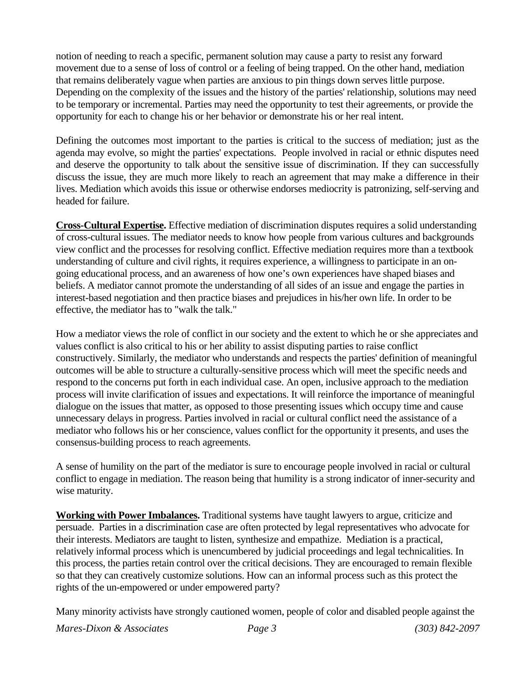notion of needing to reach a specific, permanent solution may cause a party to resist any forward movement due to a sense of loss of control or a feeling of being trapped. On the other hand, mediation that remains deliberately vague when parties are anxious to pin things down serves little purpose. Depending on the complexity of the issues and the history of the parties' relationship, solutions may need to be temporary or incremental. Parties may need the opportunity to test their agreements, or provide the opportunity for each to change his or her behavior or demonstrate his or her real intent.

Defining the outcomes most important to the parties is critical to the success of mediation; just as the agenda may evolve, so might the parties' expectations. People involved in racial or ethnic disputes need and deserve the opportunity to talk about the sensitive issue of discrimination. If they can successfully discuss the issue, they are much more likely to reach an agreement that may make a difference in their lives. Mediation which avoids this issue or otherwise endorses mediocrity is patronizing, self-serving and headed for failure.

**Cross-Cultural Expertise.** Effective mediation of discrimination disputes requires a solid understanding of cross-cultural issues. The mediator needs to know how people from various cultures and backgrounds view conflict and the processes for resolving conflict. Effective mediation requires more than a textbook understanding of culture and civil rights, it requires experience, a willingness to participate in an ongoing educational process, and an awareness of how one's own experiences have shaped biases and beliefs. A mediator cannot promote the understanding of all sides of an issue and engage the parties in interest-based negotiation and then practice biases and prejudices in his/her own life. In order to be effective, the mediator has to "walk the talk."

How a mediator views the role of conflict in our society and the extent to which he or she appreciates and values conflict is also critical to his or her ability to assist disputing parties to raise conflict constructively. Similarly, the mediator who understands and respects the parties' definition of meaningful outcomes will be able to structure a culturally-sensitive process which will meet the specific needs and respond to the concerns put forth in each individual case. An open, inclusive approach to the mediation process will invite clarification of issues and expectations. It will reinforce the importance of meaningful dialogue on the issues that matter, as opposed to those presenting issues which occupy time and cause unnecessary delays in progress. Parties involved in racial or cultural conflict need the assistance of a mediator who follows his or her conscience, values conflict for the opportunity it presents, and uses the consensus-building process to reach agreements.

A sense of humility on the part of the mediator is sure to encourage people involved in racial or cultural conflict to engage in mediation. The reason being that humility is a strong indicator of inner-security and wise maturity.

**Working with Power Imbalances.** Traditional systems have taught lawyers to argue, criticize and persuade. Parties in a discrimination case are often protected by legal representatives who advocate for their interests. Mediators are taught to listen, synthesize and empathize. Mediation is a practical, relatively informal process which is unencumbered by judicial proceedings and legal technicalities. In this process, the parties retain control over the critical decisions. They are encouraged to remain flexible so that they can creatively customize solutions. How can an informal process such as this protect the rights of the un-empowered or under empowered party?

Many minority activists have strongly cautioned women, people of color and disabled people against the

*Mares-Dixon & Associates Page 3 (303) 842-2097*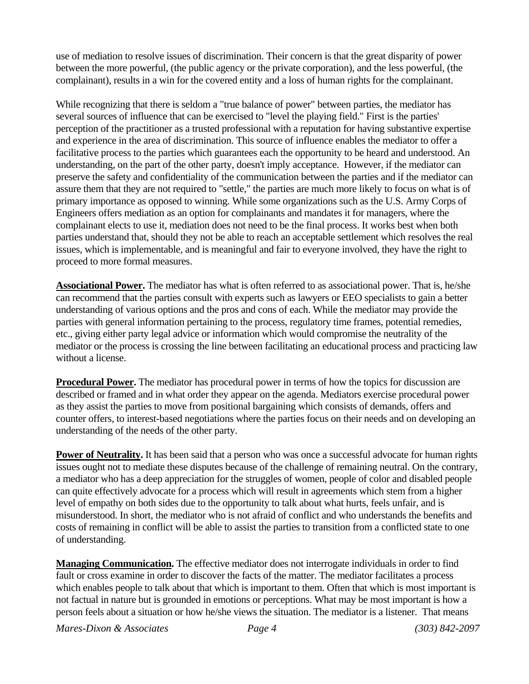use of mediation to resolve issues of discrimination. Their concern is that the great disparity of power between the more powerful, (the public agency or the private corporation), and the less powerful, (the complainant), results in a win for the covered entity and a loss of human rights for the complainant.

While recognizing that there is seldom a "true balance of power" between parties, the mediator has several sources of influence that can be exercised to "level the playing field." First is the parties' perception of the practitioner as a trusted professional with a reputation for having substantive expertise and experience in the area of discrimination. This source of influence enables the mediator to offer a facilitative process to the parties which guarantees each the opportunity to be heard and understood. An understanding, on the part of the other party, doesn't imply acceptance. However, if the mediator can preserve the safety and confidentiality of the communication between the parties and if the mediator can assure them that they are not required to "settle," the parties are much more likely to focus on what is of primary importance as opposed to winning. While some organizations such as the U.S. Army Corps of Engineers offers mediation as an option for complainants and mandates it for managers, where the complainant elects to use it, mediation does not need to be the final process. It works best when both parties understand that, should they not be able to reach an acceptable settlement which resolves the real issues, which is implementable, and is meaningful and fair to everyone involved, they have the right to proceed to more formal measures.

**Associational Power.** The mediator has what is often referred to as associational power. That is, he/she can recommend that the parties consult with experts such as lawyers or EEO specialists to gain a better understanding of various options and the pros and cons of each. While the mediator may provide the parties with general information pertaining to the process, regulatory time frames, potential remedies, etc., giving either party legal advice or information which would compromise the neutrality of the mediator or the process is crossing the line between facilitating an educational process and practicing law without a license.

**Procedural Power.** The mediator has procedural power in terms of how the topics for discussion are described or framed and in what order they appear on the agenda. Mediators exercise procedural power as they assist the parties to move from positional bargaining which consists of demands, offers and counter offers, to interest-based negotiations where the parties focus on their needs and on developing an understanding of the needs of the other party.

**Power of Neutrality.** It has been said that a person who was once a successful advocate for human rights issues ought not to mediate these disputes because of the challenge of remaining neutral. On the contrary, a mediator who has a deep appreciation for the struggles of women, people of color and disabled people can quite effectively advocate for a process which will result in agreements which stem from a higher level of empathy on both sides due to the opportunity to talk about what hurts, feels unfair, and is misunderstood. In short, the mediator who is not afraid of conflict and who understands the benefits and costs of remaining in conflict will be able to assist the parties to transition from a conflicted state to one of understanding.

**Managing Communication.** The effective mediator does not interrogate individuals in order to find fault or cross examine in order to discover the facts of the matter. The mediator facilitates a process which enables people to talk about that which is important to them. Often that which is most important is not factual in nature but is grounded in emotions or perceptions. What may be most important is how a person feels about a situation or how he/she views the situation. The mediator is a listener. That means

*Mares-Dixon & Associates Page 4 (303) 842-2097*